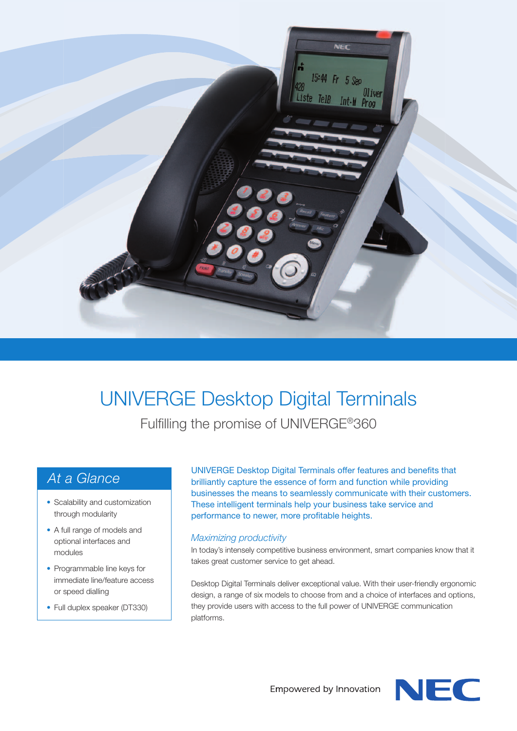

## UNIVERGE Desktop Digital Terminals

Fulfilling the promise of UNIVERGE®360

- Scalability and customization through modularity
- A full range of models and optional interfaces and modules
- Programmable line keys for immediate line/feature access or speed dialling
- Full duplex speaker (DT330)

*At a Glance* UNIVERGE Desktop Digital Terminals offer features and benefits that <br>At a Glance brilliantly capture the essence of form and function while providing businesses the means to seamlessly communicate with their customers. These intelligent terminals help your business take service and performance to newer, more profitable heights.

## *Maximizing productivity*

In today's intensely competitive business environment, smart companies know that it takes great customer service to get ahead.

Desktop Digital Terminals deliver exceptional value. With their user-friendly ergonomic design, a range of six models to choose from and a choice of interfaces and options, they provide users with access to the full power of UNIVERGE communication platforms.